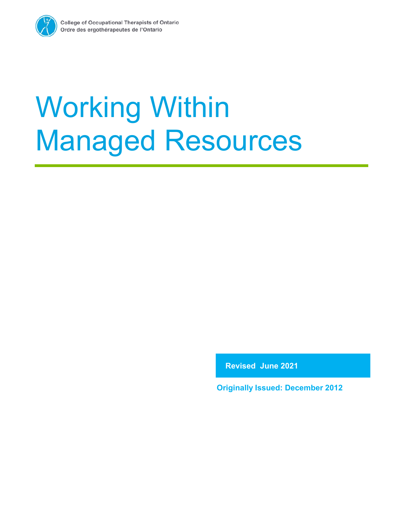

**Revised June 2021**

**Originally Issued: December 2012**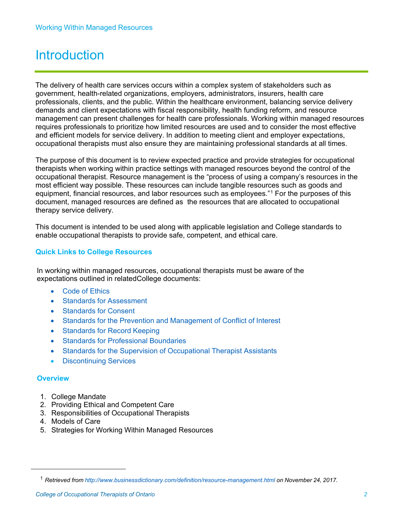# **Introduction**

The delivery of health care services occurs within a complex system of stakeholders such as government, health-related organizations, employers, administrators, insurers, health care professionals, clients, and the public. Within the healthcare environment, balancing service delivery demands and client expectations with fiscal responsibility, health funding reform, and resource management can present challenges for health care professionals. Working within managed resources requires professionals to prioritize how limited resources are used and to consider the most effective and efficient models for service delivery. In addition to meeting client and employer expectations, occupational therapists must also ensure they are maintaining professional standards at all times.

The purpose of this document is to review expected practice and provide strategies for occupational therapists when working within practice settings with managed resources beyond the control of the occupational therapist. Resource management is the "process of using a company's resources in the most efficient way possible. These resources can include tangible resources such as goods and equipment, financial resources, and labor resources such as employees.["1](#page-1-0) [F](#page-1-0)or the purposes of this document, managed resources are defined as the resources that are allocated to occupational therapy service delivery.

This document is intended to be used along with applicable legislation and College standards to enable occupational therapists to provide safe, competent, and ethical care.

#### **Quick Links to College Resources**

In working within managed resources, occupational therapists must be aware of the expectations outlined in relatedCollege documents:

- Code of [Ethics](https://www.coto.org/resources/code-of-ethics)
- Standards for [Assessment](https://www.coto.org/resources/standards-for-occupational-therapy-assessments)
- [Standards](https://www.coto.org/resources/standards-for-consent-2017) for Consent
- Standards for the Prevention and [Management](https://www.coto.org/resources/standards-for-prevention-and-management-of-conflict-of-interest) of Conflict of Interest
- Standards [for Record](https://www.coto.org/resources/standards-for-record-keeping) Keeping
- Standards for Professional Boundaries
- Standards for the Supervision of Occupational Therapist Assistants
- Discontinuing Services

#### **Overview**

- 1. College Mandate
- 2. Providing Ethical and Competent Care
- 3. Responsibilities of Occupational Therapists
- 4. Models of Care
- <span id="page-1-0"></span>5. Strategies for Working Within Managed Resources

<span id="page-1-1"></span><sup>1</sup> *Retrieved from [http://www.businessdictionary.com/definition/resource-management.html](http://www.businessdictionary.com/definition/resource-management.html%20on%20November%2024) on November 24, 2017.*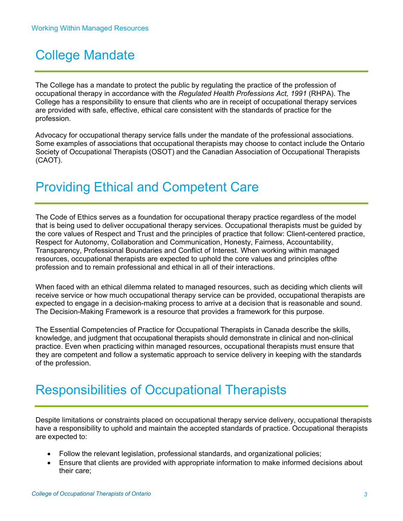# College Mandate

The College has a mandate to protect the public by regulating the practice of the profession of occupational therapy in accordance with the *Regulated Health Professions Act, 1991* (RHPA). The College has a responsibility to ensure that clients who are in receipt of occupational therapy services are provided with safe, effective, ethical care consistent with the standards of practice for the profession.

Advocacy for occupational therapy service falls under the mandate of the professional associations. Some examples of associations that occupational therapists may choose to contact include the Ontario Society of Occupational Therapists (OSOT) and the Canadian Association of Occupational Therapists (CAOT).

# Providing Ethical and Competent Care

The Code of Ethics serves as a foundation for occupational therapy practice regardless of the model that is being used to deliver occupational therapy services. Occupational therapists must be guided by the core values of Respect and Trust and the principles of practice that follow: Client-centered practice, Respect for Autonomy, Collaboration and Communication, Honesty, Fairness, Accountability, Transparency, Professional Boundaries and Conflict of Interest. When working within managed resources, occupational therapists are expected to uphold the core values and principles ofthe profession and to remain professional and ethical in all of their interactions.

When faced with an ethical dilemma related to managed resources, such as deciding which clients will receive service or how much occupational therapy service can be provided, occupational therapists are expected to engage in a decision-making process to arrive at a decision that is reasonable and sound. The Decision-Making Framework is a resource that provides a framework for this purpose.

The Essential Competencies of Practice for Occupational Therapists in Canada describe the skills, knowledge, and judgment that occupational therapists should demonstrate in clinical and non-clinical practice. Even when practicing within managed resources, occupational therapists must ensure that they are competent and follow a systematic approach to service delivery in keeping with the standards of the profession.

# Responsibilities of Occupational Therapists

Despite limitations or constraints placed on occupational therapy service delivery, occupational therapists have a responsibility to uphold and maintain the accepted standards of practice. Occupational therapists are expected to:

- Follow the relevant legislation, professional standards, and organizational policies;
- Ensure that clients are provided with appropriate information to make informed decisions about their care;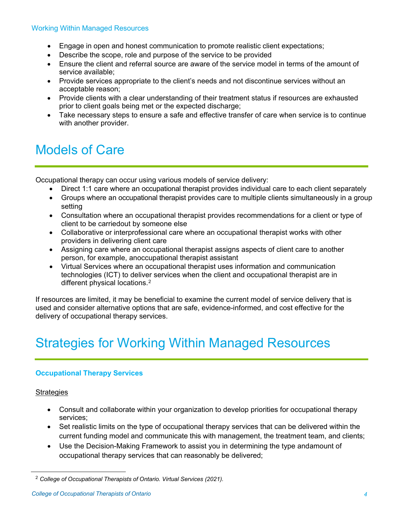- Engage in open and honest communication to promote realistic client expectations;
- Describe the scope, role and purpose of the service to be provided
- Ensure the client and referral source are aware of the service model in terms of the amount of service available;
- Provide services appropriate to the client's needs and not discontinue services without an acceptable reason;
- Provide clients with a clear understanding of their treatment status if resources are exhausted prior to client goals being met or the expected discharge;
- Take necessary steps to ensure a safe and effective transfer of care when service is to continue with another provider.

# Models of Care

Occupational therapy can occur using various models of service delivery:

- Direct 1:1 care where an occupational therapist provides individual care to each client separately
- Groups where an occupational therapist provides care to multiple clients simultaneously in a group setting
- Consultation where an occupational therapist provides recommendations for a client or type of client to be carriedout by someone else
- Collaborative or interprofessional care where an occupational therapist works with other providers in delivering client care
- Assigning care where an occupational therapist assigns aspects of client care to another person, for example, anoccupational therapist assistant
- Virtual Services where an occupational therapist uses information and communication technologies (ICT) to deliver services when the client and occupational therapist are in different physical locations.[2](#page-3-0)

If resources are limited, it may be beneficial to examine the current model of service delivery that is used and consider alternative options that are safe, evidence-informed, and cost effective for the delivery of occupational therapy services.

# Strategies for Working Within Managed Resources

#### **Occupational Therapy Services**

#### **Strategies**

- Consult and collaborate within your organization to develop priorities for occupational therapy services;
- Set realistic limits on the type of occupational therapy services that can be delivered within the current funding model and communicate this with management, the treatment team, and clients;
- Use the Decision-Making Framework to assist you in determining the type andamount of occupational therapy services that can reasonably be delivered;

<span id="page-3-0"></span><sup>2</sup> *College of Occupational Therapists of Ontario. Virtual Services (2021).*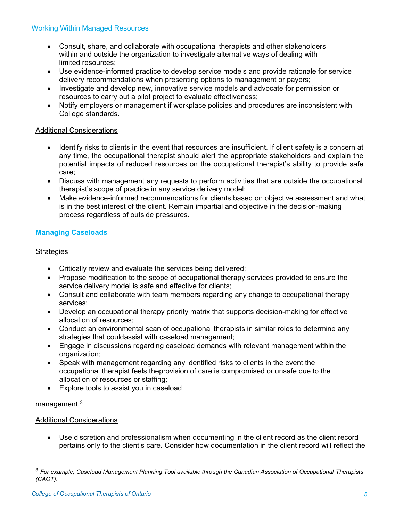- Consult, share, and collaborate with occupational therapists and other stakeholders within and outside the organization to investigate alternative ways of dealing with limited resources;
- Use evidence-informed practice to develop service models and provide rationale for service delivery recommendations when presenting options to management or payers;
- Investigate and develop new, innovative service models and advocate for permission or resources to carry out a pilot project to evaluate effectiveness;
- Notify employers or management if workplace policies and procedures are inconsistent with College standards.

#### Additional Considerations

- Identify risks to clients in the event that resources are insufficient. If client safety is a concern at any time, the occupational therapist should alert the appropriate stakeholders and explain the potential impacts of reduced resources on the occupational therapist's ability to provide safe care;
- Discuss with management any requests to perform activities that are outside the occupational therapist's scope of practice in any service delivery model;
- Make evidence-informed recommendations for clients based on objective assessment and what is in the best interest of the client. Remain impartial and objective in the decision-making process regardless of outside pressures.

#### **Managing Caseloads**

#### **Strategies**

- Critically review and evaluate the services being delivered;
- Propose modification to the scope of occupational therapy services provided to ensure the service delivery model is safe and effective for clients;
- Consult and collaborate with team members regarding any change to occupational therapy services;
- Develop an occupational therapy priority matrix that supports decision-making for effective allocation of resources;
- Conduct an environmental scan of occupational therapists in similar roles to determine any strategies that couldassist with caseload management;
- Engage in discussions regarding caseload demands with relevant management within the organization;
- Speak with management regarding any identified risks to clients in the event the occupational therapist feels theprovision of care is compromised or unsafe due to the allocation of resources or staffing;
- Explore tools to assist you in caseload

#### management.[3](#page-4-0)

#### Additional Considerations

• Use discretion and professionalism when documenting in the client record as the client record pertains only to the client's care. Consider how documentation in the client record will reflect the

<span id="page-4-0"></span><sup>3</sup> *For example, Caseload Management Planning Tool available through the Canadian Association of Occupational Therapists (CAOT).*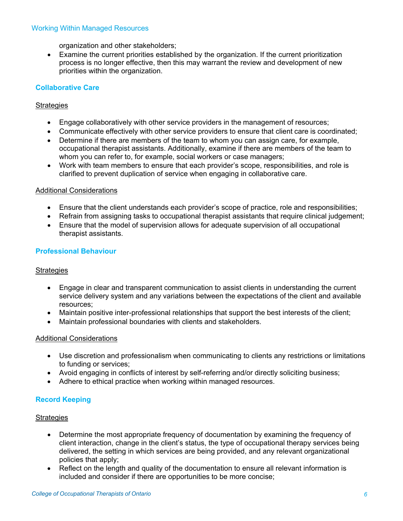organization and other stakeholders;

• Examine the current priorities established by the organization. If the current prioritization process is no longer effective, then this may warrant the review and development of new priorities within the organization.

#### **Collaborative Care**

#### **Strategies**

- Engage collaboratively with other service providers in the management of resources;
- Communicate effectively with other service providers to ensure that client care is coordinated;
- Determine if there are members of the team to whom you can assign care, for example, occupational therapist assistants. Additionally, examine if there are members of the team to whom you can refer to, for example, social workers or case managers;
- Work with team members to ensure that each provider's scope, responsibilities, and role is clarified to prevent duplication of service when engaging in collaborative care.

#### Additional Considerations

- Ensure that the client understands each provider's scope of practice, role and responsibilities;
- Refrain from assigning tasks to occupational therapist assistants that require clinical judgement;
- Ensure that the model of supervision allows for adequate supervision of all occupational therapist assistants.

#### **Professional Behaviour**

#### **Strategies**

- Engage in clear and transparent communication to assist clients in understanding the current service delivery system and any variations between the expectations of the client and available resources;
- Maintain positive inter-professional relationships that support the best interests of the client;
- Maintain professional boundaries with clients and stakeholders.

#### Additional Considerations

- Use discretion and professionalism when communicating to clients any restrictions or limitations to funding or services;
- Avoid engaging in conflicts of interest by self-referring and/or directly soliciting business;
- Adhere to ethical practice when working within managed resources.

#### **Record Keeping**

#### **Strategies**

- Determine the most appropriate frequency of documentation by examining the frequency of client interaction, change in the client's status, the type of occupational therapy services being delivered, the setting in which services are being provided, and any relevant organizational policies that apply;
- Reflect on the length and quality of the documentation to ensure all relevant information is included and consider if there are opportunities to be more concise;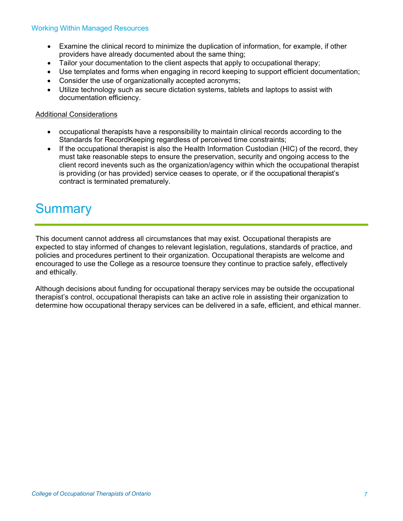- Examine the clinical record to minimize the duplication of information, for example, if other providers have already documented about the same thing;
- Tailor your documentation to the client aspects that apply to occupational therapy;
- Use templates and forms when engaging in record keeping to support efficient documentation;
- Consider the use of organizationally accepted acronyms;
- Utilize technology such as secure dictation systems, tablets and laptops to assist with documentation efficiency.

#### Additional Considerations

- occupational therapists have a responsibility to maintain clinical records according to the Standards for RecordKeeping regardless of perceived time constraints;
- If the occupational therapist is also the Health Information Custodian (HIC) of the record, they must take reasonable steps to ensure the preservation, security and ongoing access to the client record inevents such as the organization/agency within which the occupational therapist is providing (or has provided) service ceases to operate, or if the occupational therapist's contract is terminated prematurely.

### **Summary**

This document cannot address all circumstances that may exist. Occupational therapists are expected to stay informed of changes to relevant legislation, regulations, standards of practice, and policies and procedures pertinent to their organization. Occupational therapists are welcome and encouraged to use the College as a resource toensure they continue to practice safely, effectively and ethically.

Although decisions about funding for occupational therapy services may be outside the occupational therapist's control, occupational therapists can take an active role in assisting their organization to determine how occupational therapy services can be delivered in a safe, efficient, and ethical manner.